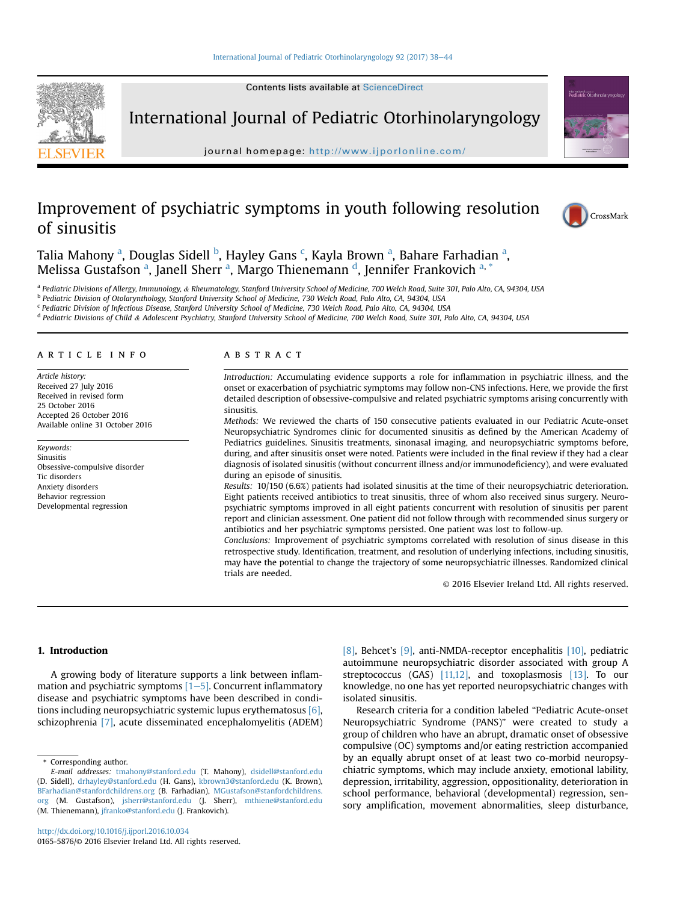Contents lists available at ScienceDirect



International Journal of Pediatric Otorhinolaryngology

journal homepage: <http://www.ijporlonline.com/>

# Improvement of psychiatric symptoms in youth following resolution of sinusitis





Talia Mahony <sup>a</sup>, Douglas Sidell <sup>b</sup>, Hayley Gans <sup>c</sup>, Kayla Brown <sup>a</sup>, Bahare Farhadian <sup>a</sup>, Melissa Gustafson <sup>a</sup>, Janell Sherr <sup>a</sup>, Margo Thienemann <sup>d</sup>, Jennifer Frankovich <sup>a, \*</sup>

a Pediatric Divisions of Allergy, Immunology, & Rheumatology, Stanford University School of Medicine, 700 Welch Road, Suite 301, Palo Alto, CA, 94304, USA

<sup>b</sup> Pediatric Division of Otolarynthology, Stanford University School of Medicine, 730 Welch Road, Palo Alto, CA, 94304, USA

<sup>c</sup> Pediatric Division of Infectious Disease, Stanford University School of Medicine, 730 Welch Road, Palo Alto, CA, 94304, USA

<sup>d</sup> Pediatric Divisions of Child & Adolescent Psychiatry, Stanford University School of Medicine, 700 Welch Road, Suite 301, Palo Alto, CA, 94304, USA

## article info

Article history: Received 27 July 2016 Received in revised form 25 October 2016 Accepted 26 October 2016 Available online 31 October 2016

Keywords: Sinusitis Obsessive-compulsive disorder Tic disorders Anxiety disorders Behavior regression Developmental regression

#### **ABSTRACT**

Introduction: Accumulating evidence supports a role for inflammation in psychiatric illness, and the onset or exacerbation of psychiatric symptoms may follow non-CNS infections. Here, we provide the first detailed description of obsessive-compulsive and related psychiatric symptoms arising concurrently with sinusitis.

Methods: We reviewed the charts of 150 consecutive patients evaluated in our Pediatric Acute-onset Neuropsychiatric Syndromes clinic for documented sinusitis as defined by the American Academy of Pediatrics guidelines. Sinusitis treatments, sinonasal imaging, and neuropsychiatric symptoms before, during, and after sinusitis onset were noted. Patients were included in the final review if they had a clear diagnosis of isolated sinusitis (without concurrent illness and/or immunodeficiency), and were evaluated during an episode of sinusitis.

Results: 10/150 (6.6%) patients had isolated sinusitis at the time of their neuropsychiatric deterioration. Eight patients received antibiotics to treat sinusitis, three of whom also received sinus surgery. Neuropsychiatric symptoms improved in all eight patients concurrent with resolution of sinusitis per parent report and clinician assessment. One patient did not follow through with recommended sinus surgery or antibiotics and her psychiatric symptoms persisted. One patient was lost to follow-up.

Conclusions: Improvement of psychiatric symptoms correlated with resolution of sinus disease in this retrospective study. Identification, treatment, and resolution of underlying infections, including sinusitis, may have the potential to change the trajectory of some neuropsychiatric illnesses. Randomized clinical trials are needed.

© 2016 Elsevier Ireland Ltd. All rights reserved.

## 1. Introduction

A growing body of literature supports a link between inflammation and psychiatric symptoms  $[1-5]$  $[1-5]$ . Concurrent inflammatory disease and psychiatric symptoms have been described in conditions including neuropsychiatric systemic lupus erythematosus [\[6\],](#page-5-0) schizophrenia [\[7\],](#page-5-0) acute disseminated encephalomyelitis (ADEM)

\* Corresponding author.

<http://dx.doi.org/10.1016/j.ijporl.2016.10.034> 0165-5876/© 2016 Elsevier Ireland Ltd. All rights reserved. [\[8\]](#page-5-0), Behcet's [\[9\]](#page-5-0), anti-NMDA-receptor encephalitis [\[10\],](#page-5-0) pediatric autoimmune neuropsychiatric disorder associated with group A streptococcus (GAS) [\[11,12\]](#page-5-0), and toxoplasmosis [\[13\]](#page-5-0). To our knowledge, no one has yet reported neuropsychiatric changes with isolated sinusitis.

Research criteria for a condition labeled "Pediatric Acute-onset Neuropsychiatric Syndrome (PANS)" were created to study a group of children who have an abrupt, dramatic onset of obsessive compulsive (OC) symptoms and/or eating restriction accompanied by an equally abrupt onset of at least two co-morbid neuropsychiatric symptoms, which may include anxiety, emotional lability, depression, irritability, aggression, oppositionality, deterioration in school performance, behavioral (developmental) regression, sensory amplification, movement abnormalities, sleep disturbance,

E-mail addresses: [tmahony@stanford.edu](mailto:tmahony@stanford.edu) (T. Mahony), [dsidell@stanford.edu](mailto:dsidell@stanford.edu) (D. Sidell), [drhayley@stanford.edu](mailto:drhayley@stanford.edu) (H. Gans), [kbrown3@stanford.edu](mailto:kbrown3@stanford.edu) (K. Brown), [BFarhadian@stanfordchildrens.org](mailto:BFarhadian@stanfordchildrens.org) (B. Farhadian), [MGustafson@stanfordchildrens.](mailto:MGustafson@stanfordchildrens.org) [org](mailto:MGustafson@stanfordchildrens.org) (M. Gustafson), [jsherr@stanford.edu](mailto:jsherr@stanford.edu) (J. Sherr), [mthiene@stanford.edu](mailto:mthiene@stanford.edu) (M. Thienemann), [jfranko@stanford.edu](mailto:jfranko@stanford.edu) (J. Frankovich).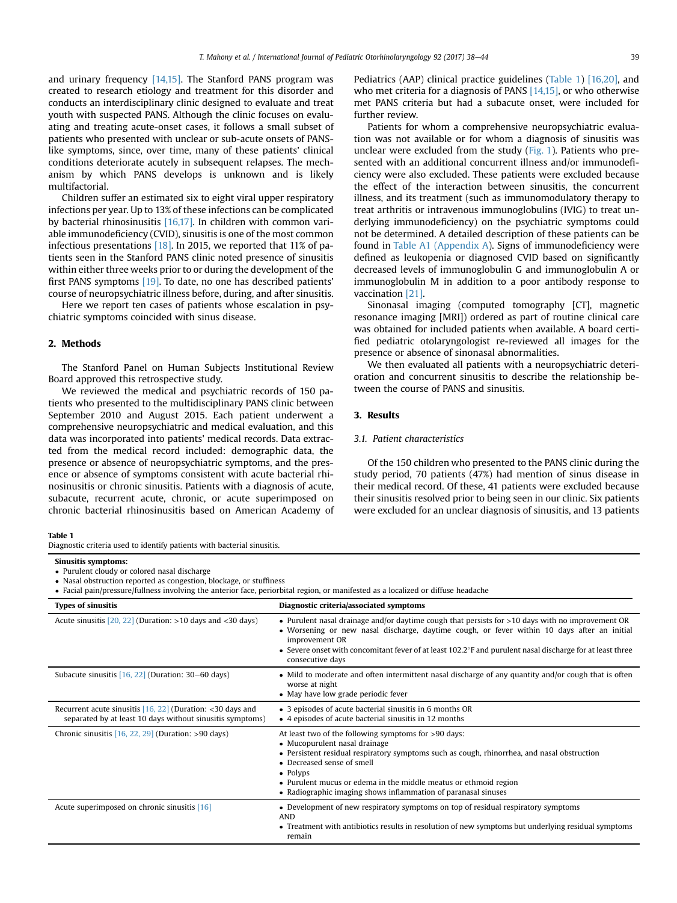and urinary frequency [\[14,15\]](#page-5-0). The Stanford PANS program was created to research etiology and treatment for this disorder and conducts an interdisciplinary clinic designed to evaluate and treat youth with suspected PANS. Although the clinic focuses on evaluating and treating acute-onset cases, it follows a small subset of patients who presented with unclear or sub-acute onsets of PANSlike symptoms, since, over time, many of these patients' clinical conditions deteriorate acutely in subsequent relapses. The mechanism by which PANS develops is unknown and is likely multifactorial.

Children suffer an estimated six to eight viral upper respiratory infections per year. Up to 13% of these infections can be complicated by bacterial rhinosinusitis [\[16,17\].](#page-5-0) In children with common variable immunodeficiency (CVID), sinusitis is one of the most common infectious presentations  $[18]$ . In 2015, we reported that 11% of patients seen in the Stanford PANS clinic noted presence of sinusitis within either three weeks prior to or during the development of the first PANS symptoms [\[19\]](#page-6-0). To date, no one has described patients' course of neuropsychiatric illness before, during, and after sinusitis.

Here we report ten cases of patients whose escalation in psychiatric symptoms coincided with sinus disease.

## 2. Methods

The Stanford Panel on Human Subjects Institutional Review Board approved this retrospective study.

We reviewed the medical and psychiatric records of 150 patients who presented to the multidisciplinary PANS clinic between September 2010 and August 2015. Each patient underwent a comprehensive neuropsychiatric and medical evaluation, and this data was incorporated into patients' medical records. Data extracted from the medical record included: demographic data, the presence or absence of neuropsychiatric symptoms, and the presence or absence of symptoms consistent with acute bacterial rhinosinusitis or chronic sinusitis. Patients with a diagnosis of acute, subacute, recurrent acute, chronic, or acute superimposed on chronic bacterial rhinosinusitis based on American Academy of Pediatrics (AAP) clinical practice guidelines (Table 1) [\[16,20\]](#page-5-0), and who met criteria for a diagnosis of PANS [\[14,15\]](#page-5-0), or who otherwise met PANS criteria but had a subacute onset, were included for further review.

Patients for whom a comprehensive neuropsychiatric evaluation was not available or for whom a diagnosis of sinusitis was unclear were excluded from the study [\(Fig. 1\)](#page-2-0). Patients who presented with an additional concurrent illness and/or immunodeficiency were also excluded. These patients were excluded because the effect of the interaction between sinusitis, the concurrent illness, and its treatment (such as immunomodulatory therapy to treat arthritis or intravenous immunoglobulins (IVIG) to treat underlying immunodeficiency) on the psychiatric symptoms could not be determined. A detailed description of these patients can be found in Table A1 (Appendix A). Signs of immunodeficiency were defined as leukopenia or diagnosed CVID based on significantly decreased levels of immunoglobulin G and immunoglobulin A or immunoglobulin M in addition to a poor antibody response to vaccination [\[21\]](#page-6-0).

Sinonasal imaging (computed tomography [CT], magnetic resonance imaging [MRI]) ordered as part of routine clinical care was obtained for included patients when available. A board certified pediatric otolaryngologist re-reviewed all images for the presence or absence of sinonasal abnormalities.

We then evaluated all patients with a neuropsychiatric deterioration and concurrent sinusitis to describe the relationship between the course of PANS and sinusitis.

## 3. Results

### 3.1. Patient characteristics

Of the 150 children who presented to the PANS clinic during the study period, 70 patients (47%) had mention of sinus disease in their medical record. Of these, 41 patients were excluded because their sinusitis resolved prior to being seen in our clinic. Six patients were excluded for an unclear diagnosis of sinusitis, and 13 patients

## Table 1

Diagnostic criteria used to identify patients with bacterial sinusitis.

## Sinusitis symptoms:

Purulent cloudy or colored nasal discharge

Nasal obstruction reported as congestion, blockage, or stuffiness

Facial pain/pressure/fullness involving the anterior face, periorbital region, or manifested as a localized or diffuse headache

| <b>Types of sinusitis</b>                                                                                                 | Diagnostic criteria/associated symptoms                                                                                                                                                                                                                                                                                                                                      |
|---------------------------------------------------------------------------------------------------------------------------|------------------------------------------------------------------------------------------------------------------------------------------------------------------------------------------------------------------------------------------------------------------------------------------------------------------------------------------------------------------------------|
| Acute sinusitis $[20, 22]$ (Duration: >10 days and <30 days)                                                              | • Purulent nasal drainage and/or daytime cough that persists for $>10$ days with no improvement OR<br>• Worsening or new nasal discharge, daytime cough, or fever within 10 days after an initial<br>improvement OR<br>• Severe onset with concomitant fever of at least $102.2^{\circ}$ F and purulent nasal discharge for at least three<br>consecutive days               |
| Subacute sinusitis [16, 22] (Duration: 30–60 days)                                                                        | • Mild to moderate and often intermittent nasal discharge of any quantity and/or cough that is often<br>worse at night<br>• May have low grade periodic fever                                                                                                                                                                                                                |
| Recurrent acute sinusitis $[16, 22]$ (Duration: <30 days and<br>separated by at least 10 days without sinusitis symptoms) | • 3 episodes of acute bacterial sinusitis in 6 months OR<br>• 4 episodes of acute bacterial sinusitis in 12 months                                                                                                                                                                                                                                                           |
| Chronic sinusitis $[16, 22, 29]$ (Duration: >90 days)                                                                     | At least two of the following symptoms for >90 days:<br>• Mucopurulent nasal drainage<br>• Persistent residual respiratory symptoms such as cough, rhinorrhea, and nasal obstruction<br>• Decreased sense of smell<br>$\bullet$ Polyps<br>• Purulent mucus or edema in the middle meatus or ethmoid region<br>• Radiographic imaging shows inflammation of paranasal sinuses |
| Acute superimposed on chronic sinusitis [16]                                                                              | • Development of new respiratory symptoms on top of residual respiratory symptoms<br><b>AND</b><br>• Treatment with antibiotics results in resolution of new symptoms but underlying residual symptoms<br>remain                                                                                                                                                             |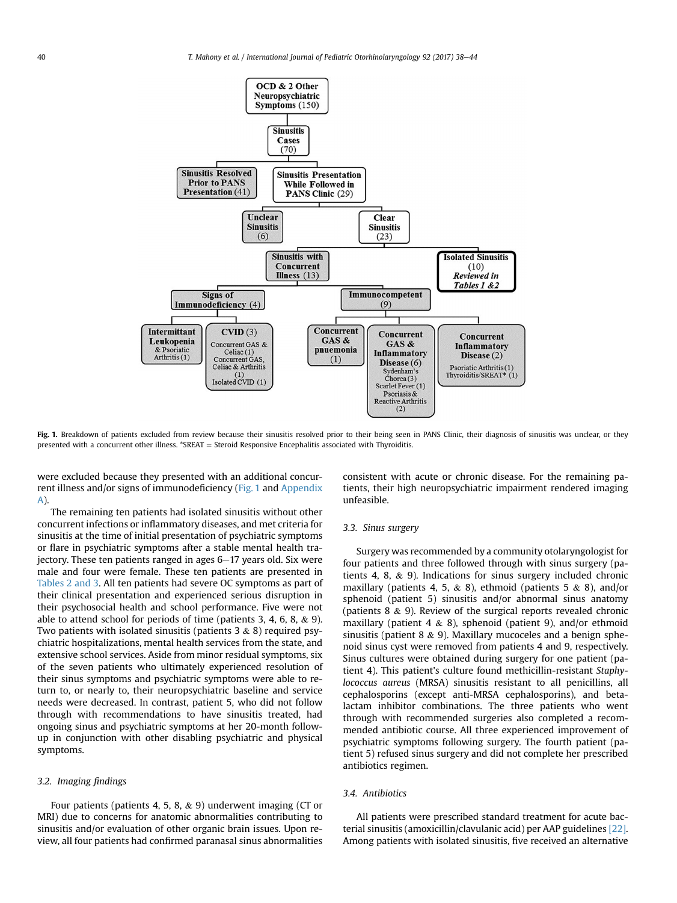<span id="page-2-0"></span>

Fig. 1. Breakdown of patients excluded from review because their sinusitis resolved prior to their being seen in PANS Clinic, their diagnosis of sinusitis was unclear, or they presented with a concurrent other illness.  $*SREAT = Steroid Responsive Encephalitis associated with Thyroiditis.$ 

were excluded because they presented with an additional concurrent illness and/or signs of immunodeficiency (Fig. 1 and Appendix A).

The remaining ten patients had isolated sinusitis without other concurrent infections or inflammatory diseases, and met criteria for sinusitis at the time of initial presentation of psychiatric symptoms or flare in psychiatric symptoms after a stable mental health trajectory. These ten patients ranged in ages  $6-17$  years old. Six were male and four were female. These ten patients are presented in [Tables 2 and 3.](#page-3-0) All ten patients had severe OC symptoms as part of their clinical presentation and experienced serious disruption in their psychosocial health and school performance. Five were not able to attend school for periods of time (patients 3, 4, 6, 8, & 9). Two patients with isolated sinusitis (patients  $3 \& 8$ ) required psychiatric hospitalizations, mental health services from the state, and extensive school services. Aside from minor residual symptoms, six of the seven patients who ultimately experienced resolution of their sinus symptoms and psychiatric symptoms were able to return to, or nearly to, their neuropsychiatric baseline and service needs were decreased. In contrast, patient 5, who did not follow through with recommendations to have sinusitis treated, had ongoing sinus and psychiatric symptoms at her 20-month followup in conjunction with other disabling psychiatric and physical symptoms.

## 3.2. Imaging findings

Four patients (patients 4, 5, 8, & 9) underwent imaging (CT or MRI) due to concerns for anatomic abnormalities contributing to sinusitis and/or evaluation of other organic brain issues. Upon review, all four patients had confirmed paranasal sinus abnormalities consistent with acute or chronic disease. For the remaining patients, their high neuropsychiatric impairment rendered imaging unfeasible.

## 3.3. Sinus surgery

Surgery was recommended by a community otolaryngologist for four patients and three followed through with sinus surgery (patients 4, 8, & 9). Indications for sinus surgery included chronic maxillary (patients 4, 5, & 8), ethmoid (patients 5 & 8), and/or sphenoid (patient 5) sinusitis and/or abnormal sinus anatomy (patients 8 & 9). Review of the surgical reports revealed chronic maxillary (patient 4  $\&$  8), sphenoid (patient 9), and/or ethmoid sinusitis (patient 8  $\&$  9). Maxillary mucoceles and a benign sphenoid sinus cyst were removed from patients 4 and 9, respectively. Sinus cultures were obtained during surgery for one patient (patient 4). This patient's culture found methicillin-resistant Staphylococcus aureus (MRSA) sinusitis resistant to all penicillins, all cephalosporins (except anti-MRSA cephalosporins), and betalactam inhibitor combinations. The three patients who went through with recommended surgeries also completed a recommended antibiotic course. All three experienced improvement of psychiatric symptoms following surgery. The fourth patient (patient 5) refused sinus surgery and did not complete her prescribed antibiotics regimen.

## 3.4. Antibiotics

All patients were prescribed standard treatment for acute bacterial sinusitis (amoxicillin/clavulanic acid) per AAP guidelines [\[22\].](#page-6-0) Among patients with isolated sinusitis, five received an alternative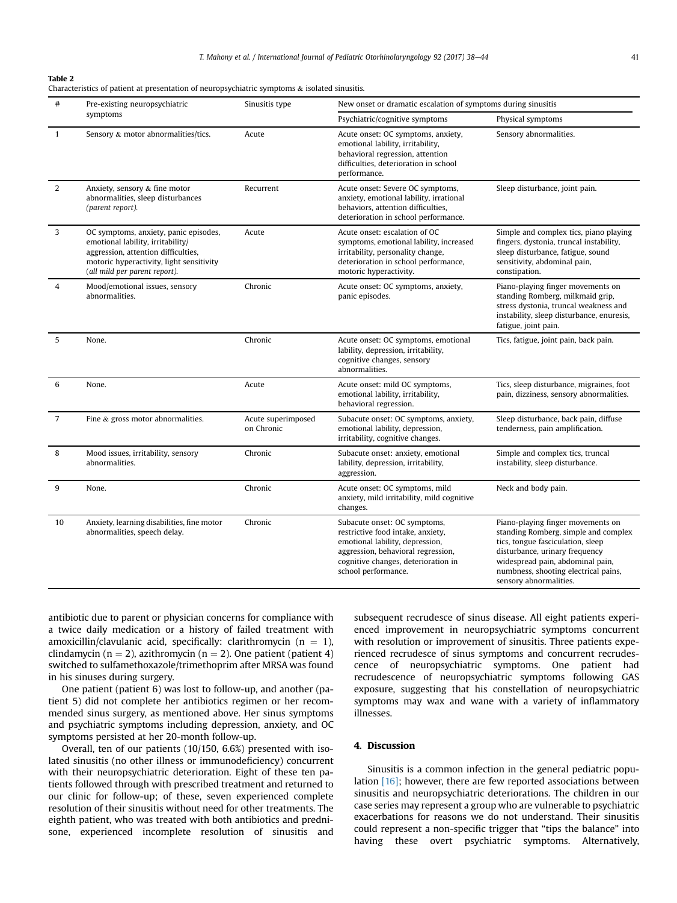## <span id="page-3-0"></span>Table 2

| #              | Pre-existing neuropsychiatric<br>Sinusitis type<br>symptoms                                                                                                                                    |                                  | New onset or dramatic escalation of symptoms during sinusitis                                                                                                                                            |                                                                                                                                                                                                                                                        |  |
|----------------|------------------------------------------------------------------------------------------------------------------------------------------------------------------------------------------------|----------------------------------|----------------------------------------------------------------------------------------------------------------------------------------------------------------------------------------------------------|--------------------------------------------------------------------------------------------------------------------------------------------------------------------------------------------------------------------------------------------------------|--|
|                |                                                                                                                                                                                                |                                  | Psychiatric/cognitive symptoms                                                                                                                                                                           | Physical symptoms                                                                                                                                                                                                                                      |  |
| $\mathbf{1}$   | Sensory & motor abnormalities/tics.                                                                                                                                                            | Acute                            | Acute onset: OC symptoms, anxiety,<br>emotional lability, irritability,<br>behavioral regression, attention<br>difficulties, deterioration in school<br>performance.                                     | Sensory abnormalities.                                                                                                                                                                                                                                 |  |
| 2              | Anxiety, sensory & fine motor<br>abnormalities, sleep disturbances<br>(parent report).                                                                                                         | Recurrent                        | Acute onset: Severe OC symptoms,<br>anxiety, emotional lability, irrational<br>behaviors, attention difficulties,<br>deterioration in school performance.                                                | Sleep disturbance, joint pain.                                                                                                                                                                                                                         |  |
| 3              | OC symptoms, anxiety, panic episodes,<br>emotional lability, irritability/<br>aggression, attention difficulties,<br>motoric hyperactivity, light sensitivity<br>(all mild per parent report). | Acute                            | Acute onset: escalation of OC<br>symptoms, emotional lability, increased<br>irritability, personality change,<br>deterioration in school performance,<br>motoric hyperactivity.                          | Simple and complex tics, piano playing<br>fingers, dystonia, truncal instability,<br>sleep disturbance, fatigue, sound<br>sensitivity, abdominal pain,<br>constipation.                                                                                |  |
| $\overline{4}$ | Mood/emotional issues, sensory<br>abnormalities.                                                                                                                                               | Chronic                          | Acute onset: OC symptoms, anxiety,<br>panic episodes.                                                                                                                                                    | Piano-playing finger movements on<br>standing Romberg, milkmaid grip,<br>stress dystonia, truncal weakness and<br>instability, sleep disturbance, enuresis,<br>fatigue, joint pain.                                                                    |  |
| 5              | None.                                                                                                                                                                                          | Chronic                          | Acute onset: OC symptoms, emotional<br>lability, depression, irritability,<br>cognitive changes, sensory<br>abnormalities.                                                                               | Tics, fatigue, joint pain, back pain.                                                                                                                                                                                                                  |  |
| 6              | None.                                                                                                                                                                                          | Acute                            | Acute onset: mild OC symptoms,<br>Tics, sleep disturbance, migraines, foot<br>pain, dizziness, sensory abnormalities.<br>emotional lability, irritability,<br>behavioral regression.                     |                                                                                                                                                                                                                                                        |  |
| $\overline{7}$ | Fine & gross motor abnormalities.                                                                                                                                                              | Acute superimposed<br>on Chronic | Sleep disturbance, back pain, diffuse<br>Subacute onset: OC symptoms, anxiety,<br>emotional lability, depression,<br>tenderness, pain amplification.<br>irritability, cognitive changes.                 |                                                                                                                                                                                                                                                        |  |
| 8              | Mood issues, irritability, sensory<br>abnormalities.                                                                                                                                           | Chronic                          | Simple and complex tics, truncal<br>Subacute onset: anxiety, emotional<br>lability, depression, irritability,<br>instability, sleep disturbance.<br>aggression.                                          |                                                                                                                                                                                                                                                        |  |
| 9              | None.                                                                                                                                                                                          | Chronic                          | Acute onset: OC symptoms, mild<br>anxiety, mild irritability, mild cognitive<br>changes.                                                                                                                 | Neck and body pain.                                                                                                                                                                                                                                    |  |
| 10             | Anxiety, learning disabilities, fine motor<br>abnormalities, speech delay.                                                                                                                     | Chronic                          | Subacute onset: OC symptoms,<br>restrictive food intake, anxiety,<br>emotional lability, depression,<br>aggression, behavioral regression,<br>cognitive changes, deterioration in<br>school performance. | Piano-playing finger movements on<br>standing Romberg, simple and complex<br>tics, tongue fasciculation, sleep<br>disturbance, urinary frequency<br>widespread pain, abdominal pain,<br>numbness, shooting electrical pains,<br>sensory abnormalities. |  |

antibiotic due to parent or physician concerns for compliance with a twice daily medication or a history of failed treatment with amoxicillin/clavulanic acid, specifically: clarithromycin ( $n = 1$ ), clindamycin (n = 2), azithromycin (n = 2). One patient (patient 4) switched to sulfamethoxazole/trimethoprim after MRSA was found in his sinuses during surgery.

One patient (patient 6) was lost to follow-up, and another (patient 5) did not complete her antibiotics regimen or her recommended sinus surgery, as mentioned above. Her sinus symptoms and psychiatric symptoms including depression, anxiety, and OC symptoms persisted at her 20-month follow-up.

Overall, ten of our patients (10/150, 6.6%) presented with isolated sinusitis (no other illness or immunodeficiency) concurrent with their neuropsychiatric deterioration. Eight of these ten patients followed through with prescribed treatment and returned to our clinic for follow-up; of these, seven experienced complete resolution of their sinusitis without need for other treatments. The eighth patient, who was treated with both antibiotics and prednisone, experienced incomplete resolution of sinusitis and subsequent recrudesce of sinus disease. All eight patients experienced improvement in neuropsychiatric symptoms concurrent with resolution or improvement of sinusitis. Three patients experienced recrudesce of sinus symptoms and concurrent recrudescence of neuropsychiatric symptoms. One patient had recrudescence of neuropsychiatric symptoms following GAS exposure, suggesting that his constellation of neuropsychiatric symptoms may wax and wane with a variety of inflammatory illnesses.

## 4. Discussion

Sinusitis is a common infection in the general pediatric population [\[16\];](#page-5-0) however, there are few reported associations between sinusitis and neuropsychiatric deteriorations. The children in our case series may represent a group who are vulnerable to psychiatric exacerbations for reasons we do not understand. Their sinusitis could represent a non-specific trigger that "tips the balance" into having these overt psychiatric symptoms. Alternatively,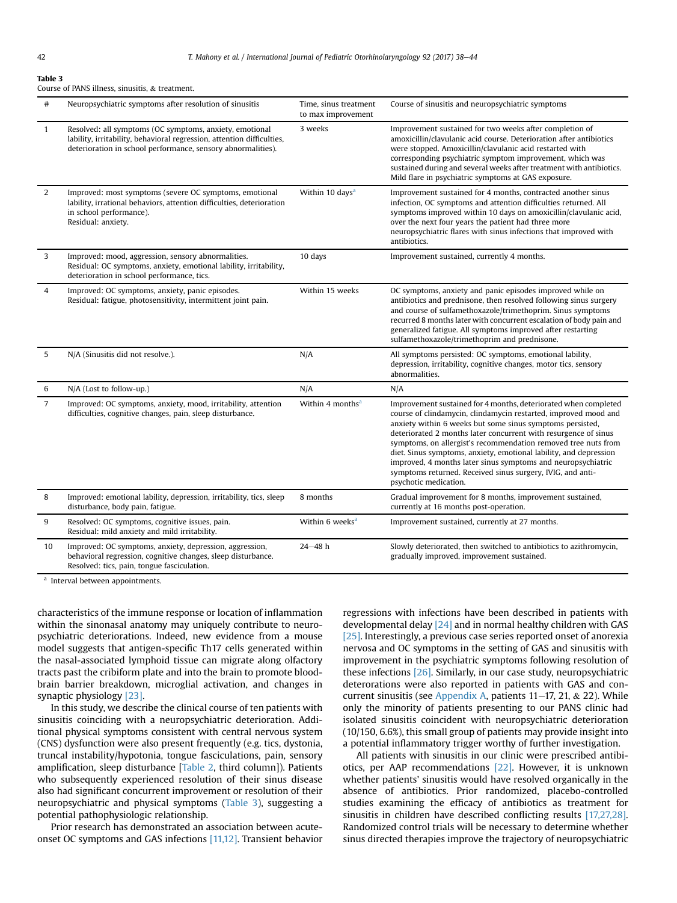#### Table 3

Course of PANS illness, sinusitis, & treatment.

| $\#$           | Neuropsychiatric symptoms after resolution of sinusitis                                                                                                                                           | Time, sinus treatment<br>to max improvement | Course of sinusitis and neuropsychiatric symptoms                                                                                                                                                                                                                                                                                                                                                                                                                                                                                                                |
|----------------|---------------------------------------------------------------------------------------------------------------------------------------------------------------------------------------------------|---------------------------------------------|------------------------------------------------------------------------------------------------------------------------------------------------------------------------------------------------------------------------------------------------------------------------------------------------------------------------------------------------------------------------------------------------------------------------------------------------------------------------------------------------------------------------------------------------------------------|
| $\mathbf{1}$   | Resolved: all symptoms (OC symptoms, anxiety, emotional<br>lability, irritability, behavioral regression, attention difficulties,<br>deterioration in school performance, sensory abnormalities). | 3 weeks                                     | Improvement sustained for two weeks after completion of<br>amoxicillin/clavulanic acid course. Deterioration after antibiotics<br>were stopped. Amoxicillin/clavulanic acid restarted with<br>corresponding psychiatric symptom improvement, which was<br>sustained during and several weeks after treatment with antibiotics.<br>Mild flare in psychiatric symptoms at GAS exposure.                                                                                                                                                                            |
| 2              | Improved: most symptoms (severe OC symptoms, emotional<br>lability, irrational behaviors, attention difficulties, deterioration<br>in school performance).<br>Residual: anxiety.                  | Within 10 days <sup>a</sup>                 | Improvement sustained for 4 months, contracted another sinus<br>infection, OC symptoms and attention difficulties returned. All<br>symptoms improved within 10 days on amoxicillin/clavulanic acid,<br>over the next four years the patient had three more<br>neuropsychiatric flares with sinus infections that improved with<br>antibiotics.                                                                                                                                                                                                                   |
| 3              | Improved: mood, aggression, sensory abnormalities.<br>Residual: OC symptoms, anxiety, emotional lability, irritability,<br>deterioration in school performance, tics.                             | 10 days                                     | Improvement sustained, currently 4 months.                                                                                                                                                                                                                                                                                                                                                                                                                                                                                                                       |
| $\overline{4}$ | Improved: OC symptoms, anxiety, panic episodes.<br>Residual: fatigue, photosensitivity, intermittent joint pain.                                                                                  | Within 15 weeks                             | OC symptoms, anxiety and panic episodes improved while on<br>antibiotics and prednisone, then resolved following sinus surgery<br>and course of sulfamethoxazole/trimethoprim. Sinus symptoms<br>recurred 8 months later with concurrent escalation of body pain and<br>generalized fatigue. All symptoms improved after restarting<br>sulfamethoxazole/trimethoprim and prednisone.                                                                                                                                                                             |
| 5              | N/A (Sinusitis did not resolve.).                                                                                                                                                                 | N/A                                         | All symptoms persisted: OC symptoms, emotional lability,<br>depression, irritability, cognitive changes, motor tics, sensory<br>abnormalities.                                                                                                                                                                                                                                                                                                                                                                                                                   |
| 6              | N/A (Lost to follow-up.)                                                                                                                                                                          | N/A                                         | N/A                                                                                                                                                                                                                                                                                                                                                                                                                                                                                                                                                              |
| 7              | Improved: OC symptoms, anxiety, mood, irritability, attention<br>difficulties, cognitive changes, pain, sleep disturbance.                                                                        | Within 4 months <sup>a</sup>                | Improvement sustained for 4 months, deteriorated when completed<br>course of clindamycin, clindamycin restarted, improved mood and<br>anxiety within 6 weeks but some sinus symptoms persisted,<br>deteriorated 2 months later concurrent with resurgence of sinus<br>symptoms, on allergist's recommendation removed tree nuts from<br>diet. Sinus symptoms, anxiety, emotional lability, and depression<br>improved, 4 months later sinus symptoms and neuropsychiatric<br>symptoms returned. Received sinus surgery, IVIG, and anti-<br>psychotic medication. |
| 8              | Improved: emotional lability, depression, irritability, tics, sleep<br>disturbance, body pain, fatigue.                                                                                           | 8 months                                    | Gradual improvement for 8 months, improvement sustained,<br>currently at 16 months post-operation.                                                                                                                                                                                                                                                                                                                                                                                                                                                               |
| 9              | Resolved: OC symptoms, cognitive issues, pain.<br>Residual: mild anxiety and mild irritability.                                                                                                   | Within 6 weeks <sup>a</sup>                 | Improvement sustained, currently at 27 months.                                                                                                                                                                                                                                                                                                                                                                                                                                                                                                                   |
| 10             | Improved: OC symptoms, anxiety, depression, aggression,<br>behavioral regression, cognitive changes, sleep disturbance.<br>Resolved: tics, pain, tongue fasciculation.                            | $24 - 48$ h                                 | Slowly deteriorated, then switched to antibiotics to azithromycin,<br>gradually improved, improvement sustained.                                                                                                                                                                                                                                                                                                                                                                                                                                                 |

<sup>a</sup> Interval between appointments.

characteristics of the immune response or location of inflammation within the sinonasal anatomy may uniquely contribute to neuropsychiatric deteriorations. Indeed, new evidence from a mouse model suggests that antigen-specific Th17 cells generated within the nasal-associated lymphoid tissue can migrate along olfactory tracts past the cribiform plate and into the brain to promote bloodbrain barrier breakdown, microglial activation, and changes in synaptic physiology [\[23\]](#page-6-0).

In this study, we describe the clinical course of ten patients with sinusitis coinciding with a neuropsychiatric deterioration. Additional physical symptoms consistent with central nervous system (CNS) dysfunction were also present frequently (e.g. tics, dystonia, truncal instability/hypotonia, tongue fasciculations, pain, sensory amplification, sleep disturbance [\[Table 2,](#page-3-0) third column]). Patients who subsequently experienced resolution of their sinus disease also had significant concurrent improvement or resolution of their neuropsychiatric and physical symptoms (Table 3), suggesting a potential pathophysiologic relationship.

Prior research has demonstrated an association between acuteonset OC symptoms and GAS infections [\[11,12\].](#page-5-0) Transient behavior regressions with infections have been described in patients with developmental delay  $[24]$  and in normal healthy children with GAS [\[25\]](#page-6-0). Interestingly, a previous case series reported onset of anorexia nervosa and OC symptoms in the setting of GAS and sinusitis with improvement in the psychiatric symptoms following resolution of these infections [\[26\]](#page-6-0). Similarly, in our case study, neuropsychiatric deterorations were also reported in patients with GAS and concurrent sinusitis (see Appendix A, patients 11-17, 21,  $&$  22). While only the minority of patients presenting to our PANS clinic had isolated sinusitis coincident with neuropsychiatric deterioration (10/150, 6.6%), this small group of patients may provide insight into a potential inflammatory trigger worthy of further investigation.

All patients with sinusitis in our clinic were prescribed antibiotics, per AAP recommendations [\[22\]](#page-6-0). However, it is unknown whether patients' sinusitis would have resolved organically in the absence of antibiotics. Prior randomized, placebo-controlled studies examining the efficacy of antibiotics as treatment for sinusitis in children have described conflicting results [\[17,27,28\].](#page-6-0) Randomized control trials will be necessary to determine whether sinus directed therapies improve the trajectory of neuropsychiatric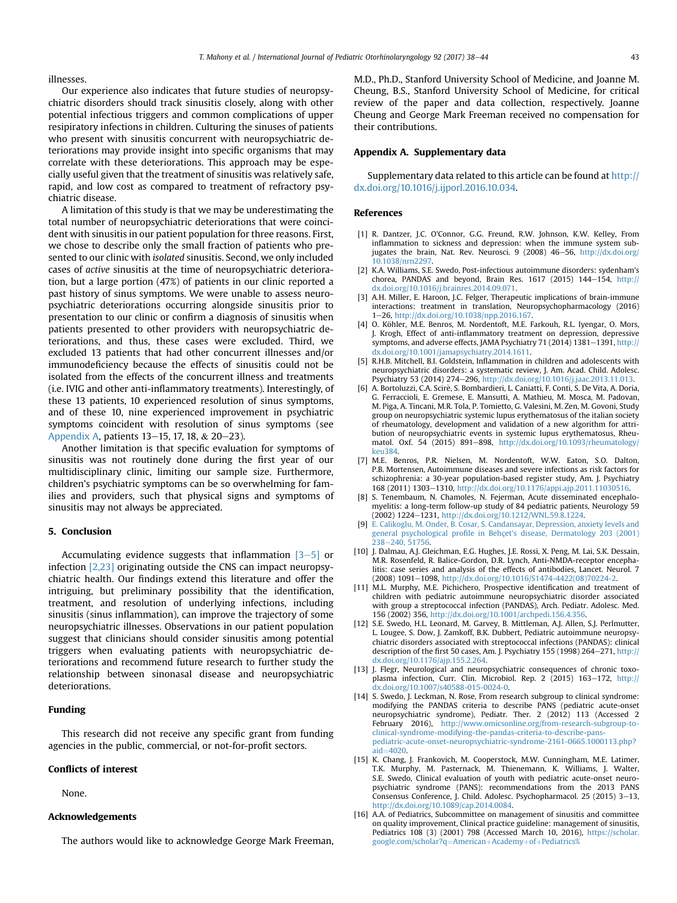<span id="page-5-0"></span>illnesses.

Our experience also indicates that future studies of neuropsychiatric disorders should track sinusitis closely, along with other potential infectious triggers and common complications of upper resipiratory infections in children. Culturing the sinuses of patients who present with sinusitis concurrent with neuropsychiatric deteriorations may provide insight into specific organisms that may correlate with these deteriorations. This approach may be especially useful given that the treatment of sinusitis was relatively safe, rapid, and low cost as compared to treatment of refractory psychiatric disease.

A limitation of this study is that we may be underestimating the total number of neuropsychiatric deteriorations that were coincident with sinusitis in our patient population for three reasons. First, we chose to describe only the small fraction of patients who presented to our clinic with isolated sinusitis. Second, we only included cases of active sinusitis at the time of neuropsychiatric deterioration, but a large portion (47%) of patients in our clinic reported a past history of sinus symptoms. We were unable to assess neuropsychiatric deteriorations occurring alongside sinusitis prior to presentation to our clinic or confirm a diagnosis of sinusitis when patients presented to other providers with neuropsychiatric deteriorations, and thus, these cases were excluded. Third, we excluded 13 patients that had other concurrent illnesses and/or immunodeficiency because the effects of sinusitis could not be isolated from the effects of the concurrent illness and treatments (i.e. IVIG and other anti-inflammatory treatments). Interestingly, of these 13 patients, 10 experienced resolution of sinus symptoms, and of these 10, nine experienced improvement in psychiatric symptoms coincident with resolution of sinus symptoms (see Appendix A, patients  $13-15$ , 17, 18, &  $20-23$ ).

Another limitation is that specific evaluation for symptoms of sinusitis was not routinely done during the first year of our multidisciplinary clinic, limiting our sample size. Furthermore, children's psychiatric symptoms can be so overwhelming for families and providers, such that physical signs and symptoms of sinusitis may not always be appreciated.

## 5. Conclusion

Accumulating evidence suggests that inflammation  $[3-5]$  or infection [2,23] originating outside the CNS can impact neuropsychiatric health. Our findings extend this literature and offer the intriguing, but preliminary possibility that the identification, treatment, and resolution of underlying infections, including sinusitis (sinus inflammation), can improve the trajectory of some neuropsychiatric illnesses. Observations in our patient population suggest that clinicians should consider sinusitis among potential triggers when evaluating patients with neuropsychiatric deteriorations and recommend future research to further study the relationship between sinonasal disease and neuropsychiatric deteriorations.

## Funding

This research did not receive any specific grant from funding agencies in the public, commercial, or not-for-profit sectors.

#### Conflicts of interest

None.

## Acknowledgements

The authors would like to acknowledge George Mark Freeman,

M.D., Ph.D., Stanford University School of Medicine, and Joanne M. Cheung, B.S., Stanford University School of Medicine, for critical review of the paper and data collection, respectively. Joanne Cheung and George Mark Freeman received no compensation for their contributions.

## Appendix A. Supplementary data

Supplementary data related to this article can be found at [http://](http://dx.doi.org/10.1016/j.ijporl.2016.10.034) [dx.doi.org/10.1016/j.ijporl.2016.10.034.](http://dx.doi.org/10.1016/j.ijporl.2016.10.034)

## References

- [1] R. Dantzer, J.C. O'Connor, G.G. Freund, R.W. Johnson, K.W. Kelley, From inflammation to sickness and depression: when the immune system subjugates the brain, Nat. Rev. Neurosci. 9 (2008)  $46-56$ , [http://dx.doi.org/](http://dx.doi.org/10.1038/nrn2297) [10.1038/nrn2297.](http://dx.doi.org/10.1038/nrn2297)
- [2] K.A. Williams, S.E. Swedo, Post-infectious autoimmune disorders: sydenham's chorea, PANDAS and beyond, Brain Res.  $1617$  (2015)  $144-154$ , [http://](http://dx.doi.org/10.1016/j.brainres.2014.09.071) [dx.doi.org/10.1016/j.brainres.2014.09.071.](http://dx.doi.org/10.1016/j.brainres.2014.09.071)
- [3] A.H. Miller, E. Haroon, J.C. Felger, Therapeutic implications of brain-immune interactions: treatment in translation, Neuropsychopharmacology (2016) 1e26, [http://dx.doi.org/10.1038/npp.2016.167.](http://dx.doi.org/10.1038/npp.2016.167)
- [4] O. Köhler, M.E. Benros, M. Nordentoft, M.E. Farkouh, R.L. Iyengar, O. Mors, J. Krogh, Effect of anti-inflammatory treatment on depression, depressive symptoms, and adverse effects, JAMA Psychiatry 71 (2014) 1381-1391, [http://](http://dx.doi.org/10.1001/jamapsychiatry.2014.1611) [dx.doi.org/10.1001/jamapsychiatry.2014.1611](http://dx.doi.org/10.1001/jamapsychiatry.2014.1611).
- [5] R.H.B. Mitchell, B.I. Goldstein, Inflammation in children and adolescents with neuropsychiatric disorders: a systematic review, J. Am. Acad. Child. Adolesc. Psychiatry 53 (2014) 274-296, <http://dx.doi.org/10.1016/j.jaac.2013.11.013>.
- [6] A. Bortoluzzi, C.A. Scire, S. Bombardieri, L. Caniatti, F. Conti, S. De Vita, A. Doria, G. Ferraccioli, E. Gremese, E. Mansutti, A. Mathieu, M. Mosca, M. Padovan, M. Piga, A. Tincani, M.R. Tola, P. Tomietto, G. Valesini, M. Zen, M. Govoni, Study group on neuropsychiatric systemic lupus erythematosus of the italian society of rheumatology, development and validation of a new algorithm for attribution of neuropsychiatric events in systemic lupus erythematosus, Rheumatol. Oxf. 54 (2015) 891-898, [http://dx.doi.org/10.1093/rheumatology/](http://dx.doi.org/10.1093/rheumatology/keu384) [keu384.](http://dx.doi.org/10.1093/rheumatology/keu384)
- [7] M.E. Benros, P.R. Nielsen, M. Nordentoft, W.W. Eaton, S.O. Dalton, P.B. Mortensen, Autoimmune diseases and severe infections as risk factors for schizophrenia: a 30-year population-based register study, Am. J. Psychiatry 168 (2011) 1303-1310, [http://dx.doi.org/10.1176/appi.ajp.2011.11030516.](http://dx.doi.org/10.1176/appi.ajp.2011.11030516)
- [8] S. Tenembaum, N. Chamoles, N. Fejerman, Acute disseminated encephalomyelitis: a long-term follow-up study of 84 pediatric patients, Neurology 59 (2002) 1224-1231, <http://dx.doi.org/10.1212/WNL.59.8.1224>.
- [9] [E. Calikoglu, M. Onder, B. Cosar, S. Candansayar, Depression, anxiety levels and](http://refhub.elsevier.com/S0165-5876(16)30380-9/sref9) general psychological profile in Behçet'[s disease, Dermatology 203 \(2001\)](http://refhub.elsevier.com/S0165-5876(16)30380-9/sref9)<br>[238](http://refhub.elsevier.com/S0165-5876(16)30380-9/sref9)–[240, 51756.](http://refhub.elsevier.com/S0165-5876(16)30380-9/sref9)
- [10] J. Dalmau, A.J. Gleichman, E.G. Hughes, J.E. Rossi, X. Peng, M. Lai, S.K. Dessain, M.R. Rosenfeld, R. Balice-Gordon, D.R. Lynch, Anti-NMDA-receptor encephalitis: case series and analysis of the effects of antibodies, Lancet. Neurol. 7 (2008) 1091-1098, [http://dx.doi.org/10.1016/S1474-4422\(08\)70224-2](http://dx.doi.org/10.1016/S1474-4422(08)70224-2).
- [11] M.L. Murphy, M.E. Pichichero, Prospective identification and treatment of children with pediatric autoimmune neuropsychiatric disorder associated with group a streptococcal infection (PANDAS), Arch. Pediatr. Adolesc. Med. 156 (2002) 356, [http://dx.doi.org/10.1001/archpedi.156.4.356.](http://dx.doi.org/10.1001/archpedi.156.4.356)
- [12] S.E. Swedo, H.L. Leonard, M. Garvey, B. Mittleman, A.J. Allen, S.J. Perlmutter, L. Lougee, S. Dow, J. Zamkoff, B.K. Dubbert, Pediatric autoimmune neuropsychiatric disorders associated with streptococcal infections (PANDAS): clinical description of the first 50 cases, Am. J. Psychiatry 155 (1998) 264-271, [http://](http://dx.doi.org/10.1176/ajp.155.2.264) [dx.doi.org/10.1176/ajp.155.2.264](http://dx.doi.org/10.1176/ajp.155.2.264).
- [13] J. Flegr, Neurological and neuropsychiatric consequences of chronic toxoplasma infection, Curr. Clin. Microbiol. Rep. 2 (2015) 163-172, [http://](http://dx.doi.org/10.1007/s40588-015-0024-0) [dx.doi.org/10.1007/s40588-015-0024-0](http://dx.doi.org/10.1007/s40588-015-0024-0).
- [14] S. Swedo, J. Leckman, N. Rose, From research subgroup to clinical syndrome: modifying the PANDAS criteria to describe PANS (pediatric acute-onset neuropsychiatric syndrome), Pediatr. Ther. 2 (2012) 113 (Accessed 2 February 2016), [http://www.omicsonline.org/from-research-subgroup-to](http://www.omicsonline.org/from-research-subgroup-to-clinical-syndrome-modifying-the-pandas-criteria-to-describe-pans-pediatric-acute-onset-neuropsychiatric-syndrome-2161-0665.1000113.php?aid=4020)[clinical-syndrome-modifying-the-pandas-criteria-to-describe-pans](http://www.omicsonline.org/from-research-subgroup-to-clinical-syndrome-modifying-the-pandas-criteria-to-describe-pans-pediatric-acute-onset-neuropsychiatric-syndrome-2161-0665.1000113.php?aid=4020)[pediatric-acute-onset-neuropsychiatric-syndrome-2161-0665.1000113.php?](http://www.omicsonline.org/from-research-subgroup-to-clinical-syndrome-modifying-the-pandas-criteria-to-describe-pans-pediatric-acute-onset-neuropsychiatric-syndrome-2161-0665.1000113.php?aid=4020) [aid](http://www.omicsonline.org/from-research-subgroup-to-clinical-syndrome-modifying-the-pandas-criteria-to-describe-pans-pediatric-acute-onset-neuropsychiatric-syndrome-2161-0665.1000113.php?aid=4020) $=4020$  $=4020$ .
- [15] K. Chang, J. Frankovich, M. Cooperstock, M.W. Cunningham, M.E. Latimer, T.K. Murphy, M. Pasternack, M. Thienemann, K. Williams, J. Walter, S.E. Swedo, Clinical evaluation of youth with pediatric acute-onset neuropsychiatric syndrome (PANS): recommendations from the 2013 PANS Consensus Conference, J. Child. Adolesc. Psychopharmacol. 25 (2015) 3-13, <http://dx.doi.org/10.1089/cap.2014.0084>.
- [16] A.A. of Pediatrics, Subcommittee on management of sinusitis and committee on quality improvement, Clinical practice guideline: management of sinusitis, Pediatrics 108 (3) (2001) 798 (Accessed March 10, 2016), [https://scholar.](https://scholar.google.com/scholar?q=American+Academy+of+Pediatrics%2C+Subcommittee+on+Management+of+Sinusitis+and+Committee+on+Quality+Improvement.+Clinical+manage&btnG=&hl=en&as_sdt=0%2C5#0) [google.com/scholar?q](https://scholar.google.com/scholar?q=American+Academy+of+Pediatrics%2C+Subcommittee+on+Management+of+Sinusitis+and+Committee+on+Quality+Improvement.+Clinical+manage&btnG=&hl=en&as_sdt=0%2C5#0)=[American](https://scholar.google.com/scholar?q=American+Academy+of+Pediatrics%2C+Subcommittee+on+Management+of+Sinusitis+and+Committee+on+Quality+Improvement.+Clinical+manage&btnG=&hl=en&as_sdt=0%2C5#0)+[Academy](https://scholar.google.com/scholar?q=American+Academy+of+Pediatrics%2C+Subcommittee+on+Management+of+Sinusitis+and+Committee+on+Quality+Improvement.+Clinical+manage&btnG=&hl=en&as_sdt=0%2C5#0)+[of](https://scholar.google.com/scholar?q=American+Academy+of+Pediatrics%2C+Subcommittee+on+Management+of+Sinusitis+and+Committee+on+Quality+Improvement.+Clinical+manage&btnG=&hl=en&as_sdt=0%2C5#0)+[Pediatrics%](https://scholar.google.com/scholar?q=American+Academy+of+Pediatrics%2C+Subcommittee+on+Management+of+Sinusitis+and+Committee+on+Quality+Improvement.+Clinical+manage&btnG=&hl=en&as_sdt=0%2C5#0)